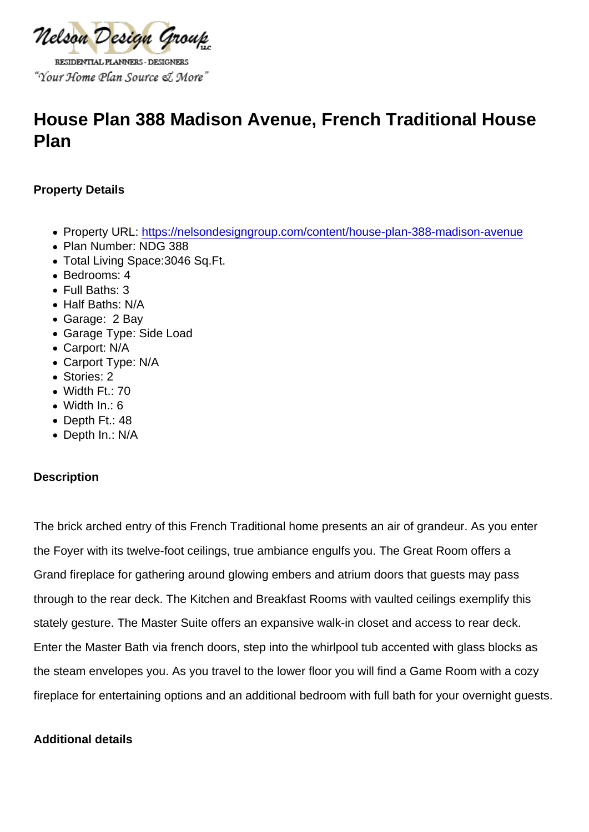# House Plan 388 Madison Avenue, French Traditional House Plan

Property Details

- Property URL:<https://nelsondesigngroup.com/content/house-plan-388-madison-avenue>
- Plan Number: NDG 388
- Total Living Space:3046 Sq.Ft.
- Bedrooms: 4
- Full Baths: 3
- Half Baths: N/A
- Garage: 2 Bay
- Garage Type: Side Load
- Carport: N/A
- Carport Type: N/A
- Stories: 2
- Width Ft.: 70
- Width In.: 6
- Depth Ft.: 48
- Depth In.: N/A

### **Description**

The brick arched entry of this French Traditional home presents an air of grandeur. As you enter the Foyer with its twelve-foot ceilings, true ambiance engulfs you. The Great Room offers a Grand fireplace for gathering around glowing embers and atrium doors that guests may pass through to the rear deck. The Kitchen and Breakfast Rooms with vaulted ceilings exemplify this stately gesture. The Master Suite offers an expansive walk-in closet and access to rear deck. Enter the Master Bath via french doors, step into the whirlpool tub accented with glass blocks as the steam envelopes you. As you travel to the lower floor you will find a Game Room with a cozy fireplace for entertaining options and an additional bedroom with full bath for your overnight guests.

Additional details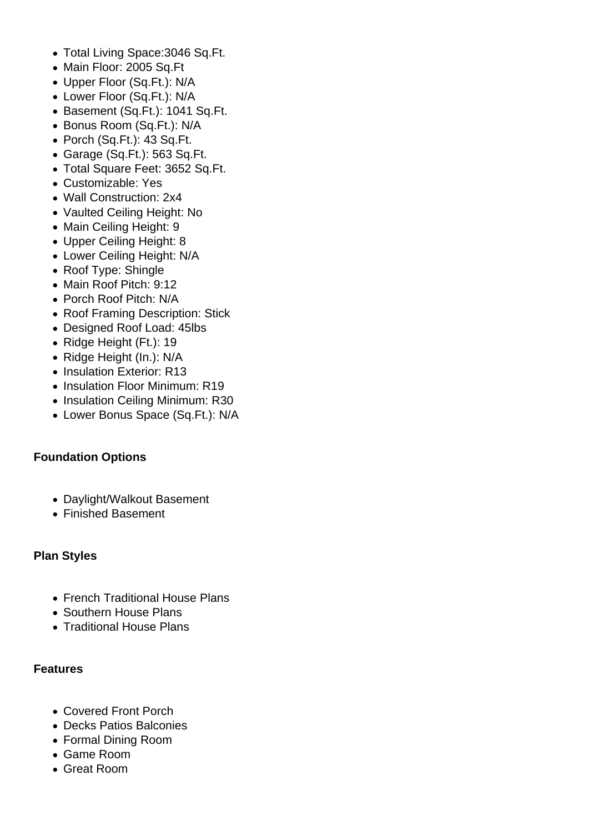- Total Living Space:3046 Sq.Ft.
- Main Floor: 2005 Sq.Ft
- Upper Floor (Sq.Ft.): N/A
- Lower Floor (Sq.Ft.): N/A
- Basement (Sq.Ft.): 1041 Sq.Ft.
- Bonus Room (Sq.Ft.): N/A
- Porch (Sq.Ft.): 43 Sq.Ft.
- Garage (Sq.Ft.): 563 Sq.Ft.
- Total Square Feet: 3652 Sq.Ft.
- Customizable: Yes
- Wall Construction: 2x4
- Vaulted Ceiling Height: No
- Main Ceiling Height: 9
- Upper Ceiling Height: 8
- Lower Ceiling Height: N/A
- Roof Type: Shingle
- Main Roof Pitch: 9:12
- Porch Roof Pitch: N/A
- Roof Framing Description: Stick
- Designed Roof Load: 45lbs
- Ridge Height (Ft.): 19
- Ridge Height (In.): N/A
- Insulation Exterior: R13
- Insulation Floor Minimum: R19
- Insulation Ceiling Minimum: R30
- Lower Bonus Space (Sq.Ft.): N/A

## **Foundation Options**

- Daylight/Walkout Basement
- Finished Basement

## **Plan Styles**

- French Traditional House Plans
- Southern House Plans
- Traditional House Plans

## **Features**

- Covered Front Porch
- Decks Patios Balconies
- Formal Dining Room
- Game Room
- Great Room